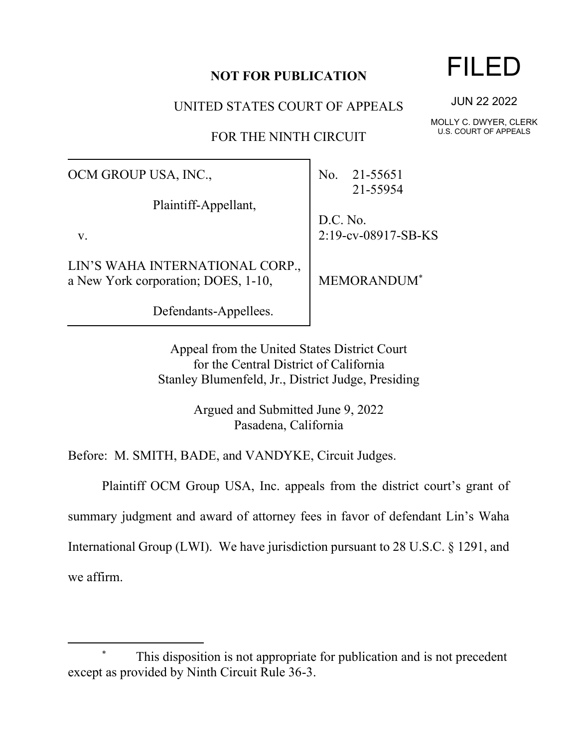## **NOT FOR PUBLICATION**

UNITED STATES COURT OF APPEALS

FOR THE NINTH CIRCUIT

OCM GROUP USA, INC.,

Plaintiff-Appellant,

v.

LIN'S WAHA INTERNATIONAL CORP., a New York corporation; DOES, 1-10,

Defendants-Appellees.

No. 21-55651 21-55954

D.C. No. 2:19-cv-08917-SB-KS

MEMORANDUM\*

Appeal from the United States District Court for the Central District of California Stanley Blumenfeld, Jr., District Judge, Presiding

> Argued and Submitted June 9, 2022 Pasadena, California

Before: M. SMITH, BADE, and VANDYKE, Circuit Judges.

Plaintiff OCM Group USA, Inc. appeals from the district court's grant of summary judgment and award of attorney fees in favor of defendant Lin's Waha International Group (LWI). We have jurisdiction pursuant to 28 U.S.C. § 1291, and we affirm.

## FILED

JUN 22 2022

MOLLY C. DWYER, CLERK U.S. COURT OF APPEALS

This disposition is not appropriate for publication and is not precedent except as provided by Ninth Circuit Rule 36-3.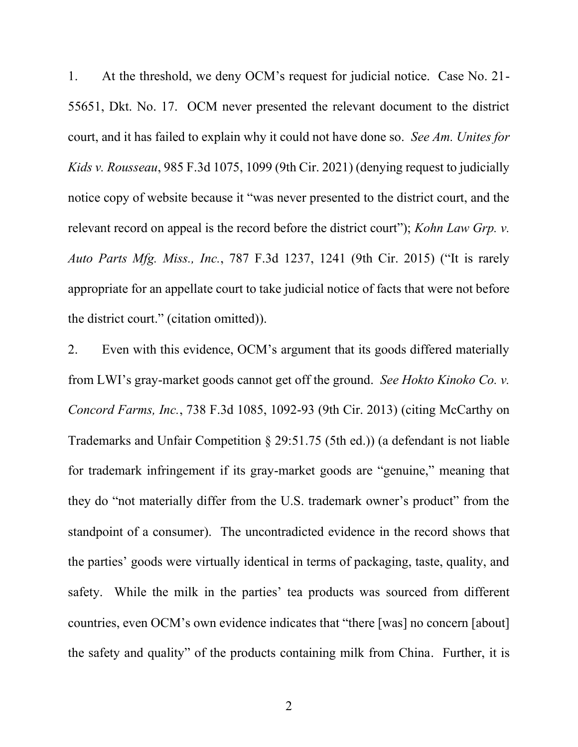1. At the threshold, we deny OCM's request for judicial notice. Case No. 21- 55651, Dkt. No. 17. OCM never presented the relevant document to the district court, and it has failed to explain why it could not have done so. *See Am. Unites for Kids v. Rousseau*, 985 F.3d 1075, 1099 (9th Cir. 2021) (denying request to judicially notice copy of website because it "was never presented to the district court, and the relevant record on appeal is the record before the district court"); *Kohn Law Grp. v. Auto Parts Mfg. Miss., Inc.*, 787 F.3d 1237, 1241 (9th Cir. 2015) ("It is rarely appropriate for an appellate court to take judicial notice of facts that were not before the district court." (citation omitted)).

2. Even with this evidence, OCM's argument that its goods differed materially from LWI's gray-market goods cannot get off the ground. *See Hokto Kinoko Co. v. Concord Farms, Inc.*, 738 F.3d 1085, 1092-93 (9th Cir. 2013) (citing McCarthy on Trademarks and Unfair Competition § 29:51.75 (5th ed.)) (a defendant is not liable for trademark infringement if its gray-market goods are "genuine," meaning that they do "not materially differ from the U.S. trademark owner's product" from the standpoint of a consumer). The uncontradicted evidence in the record shows that the parties' goods were virtually identical in terms of packaging, taste, quality, and safety. While the milk in the parties' tea products was sourced from different countries, even OCM's own evidence indicates that "there [was] no concern [about] the safety and quality" of the products containing milk from China. Further, it is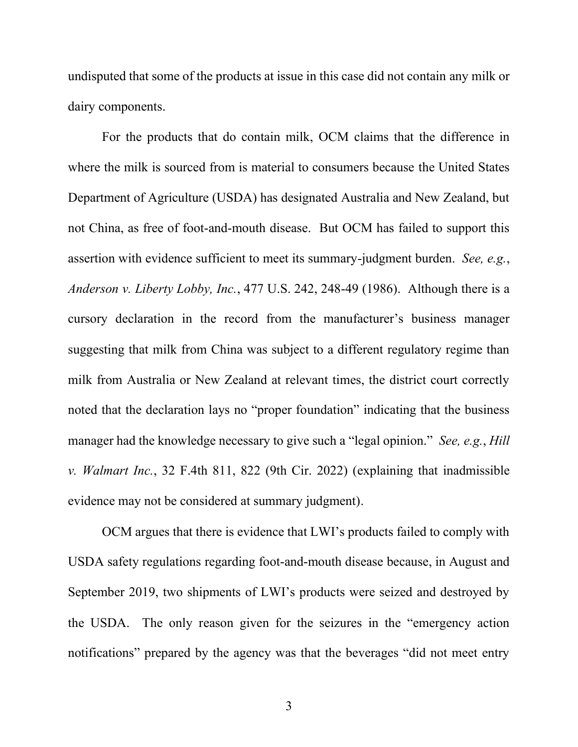undisputed that some of the products at issue in this case did not contain any milk or dairy components.

For the products that do contain milk, OCM claims that the difference in where the milk is sourced from is material to consumers because the United States Department of Agriculture (USDA) has designated Australia and New Zealand, but not China, as free of foot-and-mouth disease. But OCM has failed to support this assertion with evidence sufficient to meet its summary-judgment burden. *See, e.g.*, *Anderson v. Liberty Lobby, Inc.*, 477 U.S. 242, 248-49 (1986). Although there is a cursory declaration in the record from the manufacturer's business manager suggesting that milk from China was subject to a different regulatory regime than milk from Australia or New Zealand at relevant times, the district court correctly noted that the declaration lays no "proper foundation" indicating that the business manager had the knowledge necessary to give such a "legal opinion." *See, e.g.*, *Hill v. Walmart Inc.*, 32 F.4th 811, 822 (9th Cir. 2022) (explaining that inadmissible evidence may not be considered at summary judgment).

OCM argues that there is evidence that LWI's products failed to comply with USDA safety regulations regarding foot-and-mouth disease because, in August and September 2019, two shipments of LWI's products were seized and destroyed by the USDA. The only reason given for the seizures in the "emergency action notifications" prepared by the agency was that the beverages "did not meet entry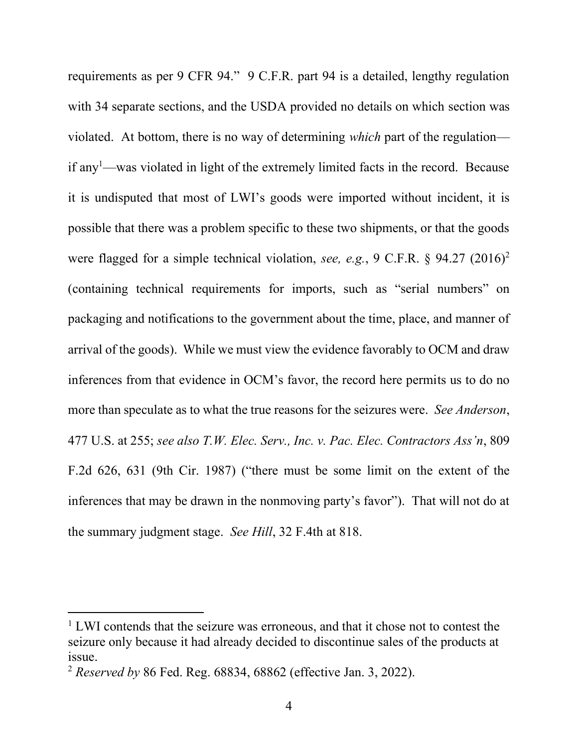requirements as per 9 CFR 94." 9 C.F.R. part 94 is a detailed, lengthy regulation with 34 separate sections, and the USDA provided no details on which section was violated. At bottom, there is no way of determining *which* part of the regulation if any<sup>1</sup>—was violated in light of the extremely limited facts in the record. Because it is undisputed that most of LWI's goods were imported without incident, it is possible that there was a problem specific to these two shipments, or that the goods were flagged for a simple technical violation, *see, e.g.*, 9 C.F.R. § 94.27 (2016)<sup>2</sup> (containing technical requirements for imports, such as "serial numbers" on packaging and notifications to the government about the time, place, and manner of arrival of the goods). While we must view the evidence favorably to OCM and draw inferences from that evidence in OCM's favor, the record here permits us to do no more than speculate as to what the true reasons for the seizures were. *See Anderson*, 477 U.S. at 255; *see also T.W. Elec. Serv., Inc. v. Pac. Elec. Contractors Ass'n*, 809 F.2d 626, 631 (9th Cir. 1987) ("there must be some limit on the extent of the inferences that may be drawn in the nonmoving party's favor"). That will not do at the summary judgment stage. *See Hill*, 32 F.4th at 818.

<sup>&</sup>lt;sup>1</sup> LWI contends that the seizure was erroneous, and that it chose not to contest the seizure only because it had already decided to discontinue sales of the products at issue.

<sup>2</sup> *Reserved by* 86 Fed. Reg. 68834, 68862 (effective Jan. 3, 2022).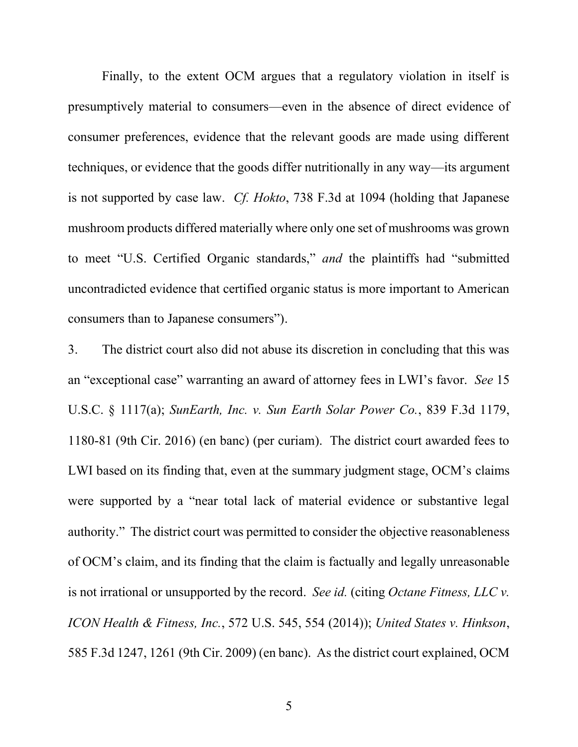Finally, to the extent OCM argues that a regulatory violation in itself is presumptively material to consumers—even in the absence of direct evidence of consumer preferences, evidence that the relevant goods are made using different techniques, or evidence that the goods differ nutritionally in any way—its argument is not supported by case law. *Cf. Hokto*, 738 F.3d at 1094 (holding that Japanese mushroom products differed materially where only one set of mushrooms was grown to meet "U.S. Certified Organic standards," *and* the plaintiffs had "submitted uncontradicted evidence that certified organic status is more important to American consumers than to Japanese consumers").

3. The district court also did not abuse its discretion in concluding that this was an "exceptional case" warranting an award of attorney fees in LWI's favor. *See* 15 U.S.C. § 1117(a); *SunEarth, Inc. v. Sun Earth Solar Power Co.*, 839 F.3d 1179, 1180-81 (9th Cir. 2016) (en banc) (per curiam). The district court awarded fees to LWI based on its finding that, even at the summary judgment stage, OCM's claims were supported by a "near total lack of material evidence or substantive legal authority." The district court was permitted to consider the objective reasonableness of OCM's claim, and its finding that the claim is factually and legally unreasonable is not irrational or unsupported by the record. *See id.* (citing *Octane Fitness, LLC v. ICON Health & Fitness, Inc.*, 572 U.S. 545, 554 (2014)); *United States v. Hinkson*, 585 F.3d 1247, 1261 (9th Cir. 2009) (en banc). As the district court explained, OCM